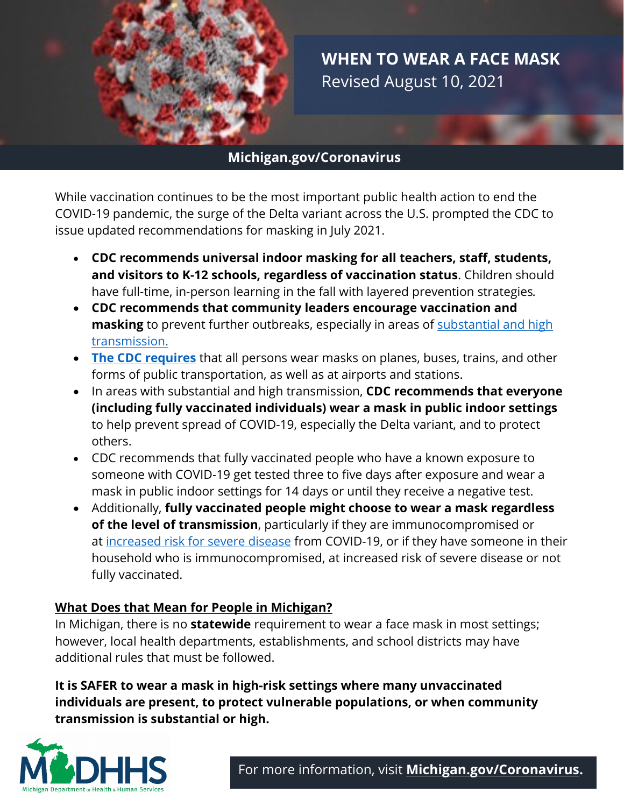

**WHEN TO WEAR A FACE MASK** Revised August 10, 2021

## **Michigan.gov/Coronavirus**

While vaccination continues to be the most important public health action to end the COVID-19 pandemic, the surge of the Delta variant across the U.S. prompted the CDC to issue updated recommendations for masking in July 2021.

- **CDC recommends universal indoor masking for all teachers, staff, students, and visitors to K-12 schools, regardless of vaccination status**. Children should have full-time, in-person learning in the fall with layered prevention strategies*.*
- **CDC recommends that community leaders encourage vaccination and masking** to prevent further outbreaks, especially in areas of [substantial and high](https://covid.cdc.gov/covid-data-tracker/index.html#county-view)  [transmission.](https://covid.cdc.gov/covid-data-tracker/index.html#county-view)
- **[The CDC requires](https://www.cdc.gov/quarantine/masks/mask-travel-guidance.html)** that all persons wear masks on planes, buses, trains, and other forms of public transportation, as well as at airports and stations.
- In areas with substantial and high transmission, **CDC recommends that everyone (including fully vaccinated individuals) wear a mask in public indoor settings** to help prevent spread of COVID-19, especially the Delta variant, and to protect others.
- CDC recommends that fully vaccinated people who have a known exposure to someone with COVID-19 get tested three to five days after exposure and wear a mask in public indoor settings for 14 days or until they receive a negative test.
- Additionally, **fully vaccinated people might choose to wear a mask regardless of the level of transmission**, particularly if they are immunocompromised or at [increased risk for severe disease](https://www.cdc.gov/coronavirus/2019-ncov/need-extra-precautions/people-with-medical-conditions.html) from COVID-19, or if they have someone in their household who is immunocompromised, at increased risk of severe disease or not fully vaccinated.

## **What Does that Mean for People in Michigan?**

In Michigan, there is no **statewide** requirement to wear a face mask in most settings; however, local health departments, establishments, and school districts may have additional rules that must be followed.

**It is SAFER to wear a mask in high-risk settings where many unvaccinated individuals are present, to protect vulnerable populations, or when community transmission is substantial or high.**